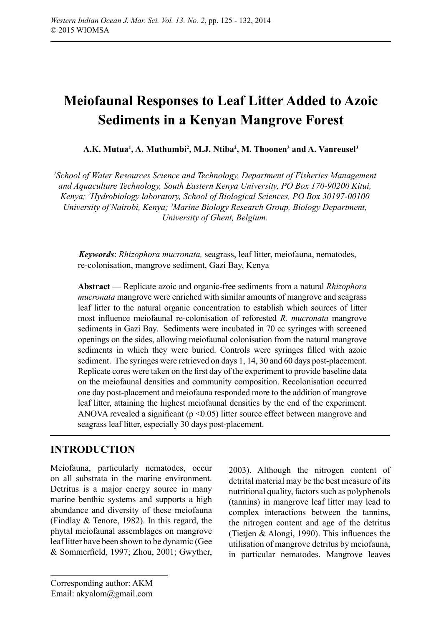# **Meiofaunal Responses to Leaf Litter Added to Azoic Sediments in a Kenyan Mangrove Forest**

**A.K. Mutua1 , A. Muthumbi2 , M.J. Ntiba2 , M. Thoonen3 and A. Vanreusel3**

*1 School of Water Resources Science and Technology, Department of Fisheries Management and Aquaculture Technology, South Eastern Kenya University, PO Box 170-90200 Kitui, Kenya; 2 Hydrobiology laboratory, School of Biological Sciences, PO Box 30197-00100 University of Nairobi, Kenya; 3 Marine Biology Research Group, Biology Department, University of Ghent, Belgium.*

*Keywords*: *Rhizophora mucronata,* seagrass, leaf litter, meiofauna, nematodes, re-colonisation, mangrove sediment, Gazi Bay, Kenya

**Abstract** — Replicate azoic and organic-free sediments from a natural *Rhizophora mucronata* mangrove were enriched with similar amounts of mangrove and seagrass leaf litter to the natural organic concentration to establish which sources of litter most influence meiofaunal re-colonisation of reforested *R. mucronata* mangrove sediments in Gazi Bay. Sediments were incubated in 70 cc syringes with screened openings on the sides, allowing meiofaunal colonisation from the natural mangrove sediments in which they were buried. Controls were syringes filled with azoic sediment. The syringes were retrieved on days 1, 14, 30 and 60 days post-placement. Replicate cores were taken on the first day of the experiment to provide baseline data on the meiofaunal densities and community composition. Recolonisation occurred one day post-placement and meiofauna responded more to the addition of mangrove leaf litter, attaining the highest meiofaunal densities by the end of the experiment. ANOVA revealed a significant ( $p \le 0.05$ ) litter source effect between mangrove and seagrass leaf litter, especially 30 days post-placement.

# **INTRODUCTION**

Meiofauna, particularly nematodes, occur on all substrata in the marine environment. Detritus is a major energy source in many marine benthic systems and supports a high abundance and diversity of these meiofauna (Findlay & Tenore, 1982). In this regard, the phytal meiofaunal assemblages on mangrove leaf litter have been shown to be dynamic (Gee & Sommerfield, 1997; Zhou, 2001; Gwyther,

2003). Although the nitrogen content of detrital material may be the best measure of its nutritional quality, factors such as polyphenols (tannins) in mangrove leaf litter may lead to complex interactions between the tannins, the nitrogen content and age of the detritus (Tietjen & Alongi, 1990). This influences the utilisation of mangrove detritus by meiofauna, in particular nematodes. Mangrove leaves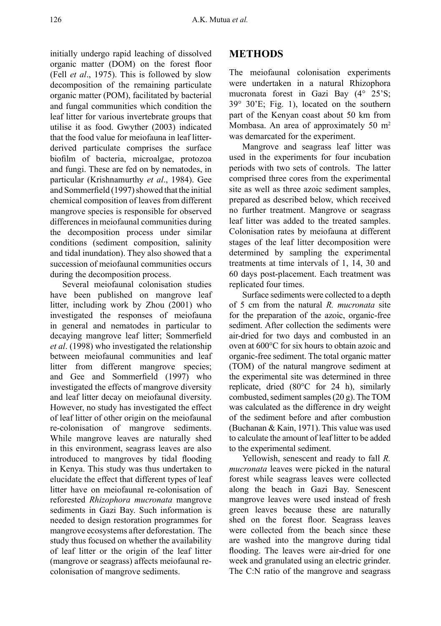initially undergo rapid leaching of dissolved organic matter (DOM) on the forest floor (Fell *et al*., 1975). This is followed by slow decomposition of the remaining particulate organic matter (POM), facilitated by bacterial and fungal communities which condition the leaf litter for various invertebrate groups that utilise it as food. Gwyther (2003) indicated that the food value for meiofauna in leaf litterderived particulate comprises the surface biofilm of bacteria, microalgae, protozoa and fungi. These are fed on by nematodes, in particular (Krishnamurthy *et al*., 1984). Gee and Sommerfield (1997) showed that the initial chemical composition of leaves from different mangrove species is responsible for observed differences in meiofaunal communities during the decomposition process under similar conditions (sediment composition, salinity and tidal inundation). They also showed that a succession of meiofaunal communities occurs during the decomposition process.

Several meiofaunal colonisation studies have been published on mangrove leaf litter, including work by Zhou (2001) who investigated the responses of meiofauna in general and nematodes in particular to decaying mangrove leaf litter; Sommerfield *et al*. (1998) who investigated the relationship between meiofaunal communities and leaf litter from different mangrove species; and Gee and Sommerfield (1997) who investigated the effects of mangrove diversity and leaf litter decay on meiofaunal diversity. However, no study has investigated the effect of leaf litter of other origin on the meiofaunal re-colonisation of mangrove sediments. While mangrove leaves are naturally shed in this environment, seagrass leaves are also introduced to mangroves by tidal flooding in Kenya. This study was thus undertaken to elucidate the effect that different types of leaf litter have on meiofaunal re-colonisation of reforested *Rhizophora mucronata* mangrove sediments in Gazi Bay. Such information is needed to design restoration programmes for mangrove ecosystems after deforestation. The study thus focused on whether the availability of leaf litter or the origin of the leaf litter (mangrove or seagrass) affects meiofaunal recolonisation of mangrove sediments.

### **METHODS**

The meiofaunal colonisation experiments were undertaken in a natural Rhizophora mucronata forest in Gazi Bay (4° 25'S; 39° 30'E; Fig. 1), located on the southern part of the Kenyan coast about 50 km from Mombasa. An area of approximately 50 m<sup>2</sup> was demarcated for the experiment.

Mangrove and seagrass leaf litter was used in the experiments for four incubation periods with two sets of controls. The latter comprised three cores from the experimental site as well as three azoic sediment samples, prepared as described below, which received no further treatment. Mangrove or seagrass leaf litter was added to the treated samples. Colonisation rates by meiofauna at different stages of the leaf litter decomposition were determined by sampling the experimental treatments at time intervals of 1, 14, 30 and 60 days post-placement. Each treatment was replicated four times.

Surface sediments were collected to a depth of 5 cm from the natural *R. mucronata* site for the preparation of the azoic, organic-free sediment. After collection the sediments were air-dried for two days and combusted in an oven at 600°C for six hours to obtain azoic and organic-free sediment. The total organic matter (TOM) of the natural mangrove sediment at the experimental site was determined in three replicate, dried (80°C for 24 h), similarly combusted, sediment samples (20 g). The TOM was calculated as the difference in dry weight of the sediment before and after combustion (Buchanan & Kain, 1971). This value was used to calculate the amount of leaf litter to be added to the experimental sediment.

Yellowish, senescent and ready to fall *R. mucronata* leaves were picked in the natural forest while seagrass leaves were collected along the beach in Gazi Bay. Senescent mangrove leaves were used instead of fresh green leaves because these are naturally shed on the forest floor. Seagrass leaves were collected from the beach since these are washed into the mangrove during tidal flooding. The leaves were air-dried for one week and granulated using an electric grinder. The C:N ratio of the mangrove and seagrass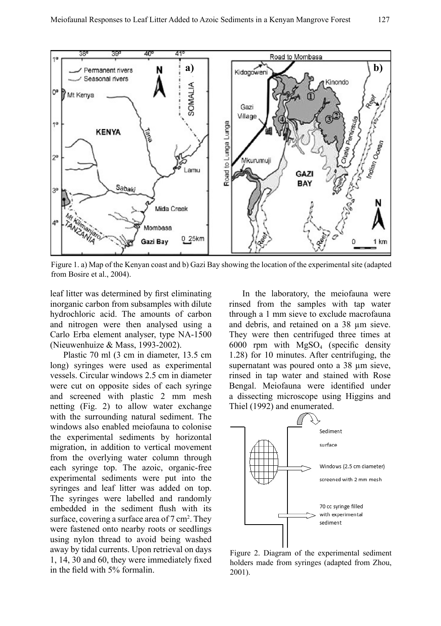

Figure 1. a) Map of the Kenyan coast and b) Gazi Bay showing the location of the experimental site (adapted from Bosire et al., 2004).

leaf litter was determined by first eliminating inorganic carbon from subsamples with dilute hydrochloric acid. The amounts of carbon and nitrogen were then analysed using a Carlo Erba element analyser, type NA-1500 (Nieuwenhuize & Mass, 1993-2002).

Plastic 70 ml (3 cm in diameter, 13.5 cm long) syringes were used as experimental vessels. Circular windows 2.5 cm in diameter were cut on opposite sides of each syringe and screened with plastic 2 mm mesh netting (Fig. 2) to allow water exchange with the surrounding natural sediment. The windows also enabled meiofauna to colonise the experimental sediments by horizontal migration, in addition to vertical movement from the overlying water column through each syringe top. The azoic, organic-free experimental sediments were put into the syringes and leaf litter was added on top. The syringes were labelled and randomly embedded in the sediment flush with its surface, covering a surface area of 7 cm<sup>2</sup>. They were fastened onto nearby roots or seedlings using nylon thread to avoid being washed away by tidal currents. Upon retrieval on days 1, 14, 30 and 60, they were immediately fixed in the field with 5% formalin.

In the laboratory, the meiofauna were rinsed from the samples with tap water through a 1 mm sieve to exclude macrofauna and debris, and retained on a 38 µm sieve. They were then centrifuged three times at 6000 rpm with  $MgSO<sub>4</sub>$  (specific density 1.28) for 10 minutes. After centrifuging, the supernatant was poured onto a 38  $\mu$ m sieve, rinsed in tap water and stained with Rose Bengal. Meiofauna were identified under a dissecting microscope using Higgins and Thiel (1992) and enumerated.



Figure 2. Diagram of the experimental sediment holders made from syringes (adapted from Zhou, 2001).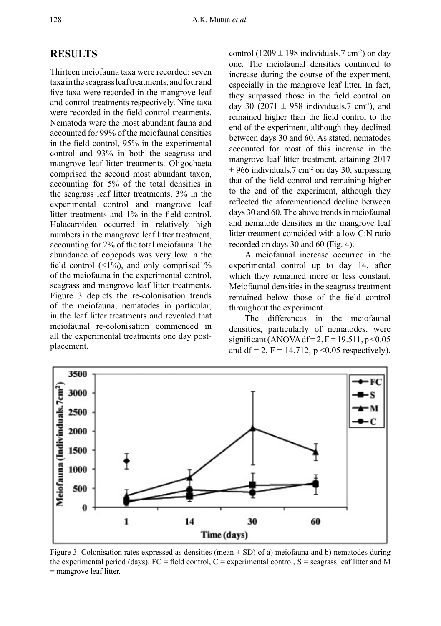## **RESULTS**

Thirteen meiofauna taxa were recorded; seven taxa in the seagrass leaf treatments, and four and five taxa were recorded in the mangrove leaf and control treatments respectively. Nine taxa were recorded in the field control treatments. Nematoda were the most abundant fauna and accounted for 99% of the meiofaunal densities in the field control, 95% in the experimental control and 93% in both the seagrass and mangrove leaf litter treatments. Oligochaeta comprised the second most abundant taxon, accounting for 5% of the total densities in the seagrass leaf litter treatments, 3% in the experimental control and mangrove leaf litter treatments and 1% in the field control. Halacaroidea occurred in relatively high numbers in the mangrove leaf litter treatment, accounting for 2% of the total meiofauna. The abundance of copepods was very low in the field control  $($  <math>1\%</math>), and only comprised  $1\%$ of the meiofauna in the experimental control, seagrass and mangrove leaf litter treatments. Figure 3 depicts the re-colonisation trends of the meiofauna, nematodes in particular, in the leaf litter treatments and revealed that meiofaunal re-colonisation commenced in all the experimental treatments one day postplacement.

control (1209  $\pm$  198 individuals.7 cm<sup>-2</sup>) on day one. The meiofaunal densities continued to increase during the course of the experiment, especially in the mangrove leaf litter. In fact, they surpassed those in the field control on day 30 (2071  $\pm$  958 individuals. 7 cm<sup>-2</sup>), and remained higher than the field control to the end of the experiment, although they declined between days 30 and 60. As stated, nematodes accounted for most of this increase in the mangrove leaf litter treatment, attaining 2017  $\pm$  966 individuals.7 cm<sup>-2</sup> on day 30, surpassing that of the field control and remaining higher to the end of the experiment, although they reflected the aforementioned decline between days 30 and 60. The above trends in meiofaunal and nematode densities in the mangrove leaf litter treatment coincided with a low C:N ratio recorded on days 30 and 60 (Fig. 4).

A meiofaunal increase occurred in the experimental control up to day 14, after which they remained more or less constant. Meiofaunal densities in the seagrass treatment remained below those of the field control throughout the experiment.

The differences in the meiofaunal densities, particularly of nematodes, were significant (ANOVA df = 2, F = 19.511,  $p \le 0.05$ and df = 2, F = 14.712,  $p \le 0.05$  respectively).



Figure 3. Colonisation rates expressed as densities (mean  $\pm$  SD) of a) meiofauna and b) nematodes during the experimental period (days). FC = field control, C = experimental control, S = seagrass leaf litter and M = mangrove leaf litter.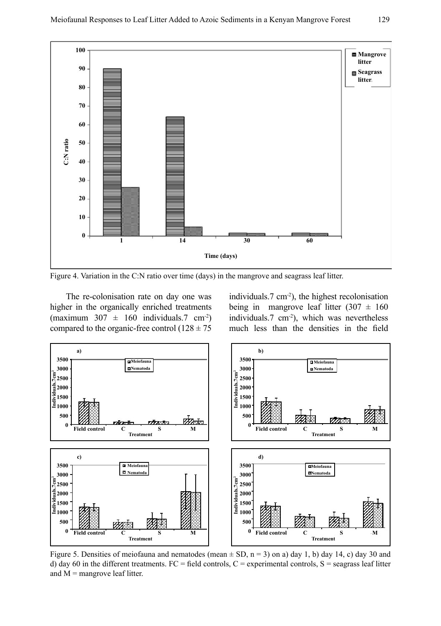

Figure 4. Variation in the C:N ratio over time (days) in the mangrove and seagrass leaf litter.

The re-colonisation rate on day one was higher in the organically enriched treatments (maximum  $307 \pm 160$  individuals. 7 cm<sup>-2</sup>) compared to the organic-free control  $(128 \pm 75)$  individuals.7 cm-2), the highest recolonisation being in mangrove leaf litter  $(307 \pm 160)$ individuals.7 cm<sup>-2</sup>), which was nevertheless much less than the densities in the field



Figure 5. Densities of meiofauna and nematodes (mean  $\pm$  SD, n = 3) on a) day 1, b) day 14, c) day 30 and d) day 60 in the different treatments. FC = field controls, C = experimental controls, S = seagrass leaf litter and  $M =$  mangrove leaf litter.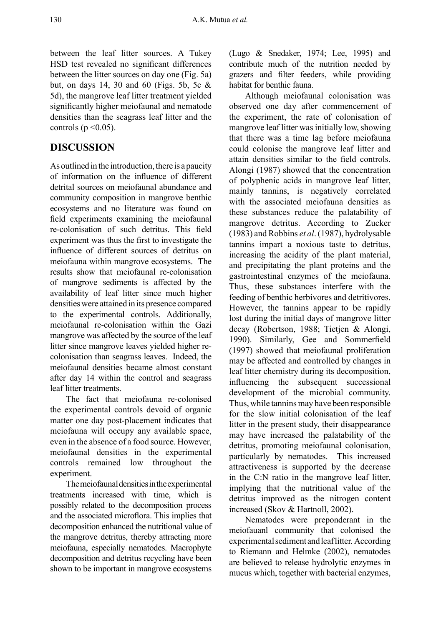between the leaf litter sources. A Tukey HSD test revealed no significant differences between the litter sources on day one (Fig. 5a) but, on days 14, 30 and 60 (Figs. 5b, 5c & 5d), the mangrove leaf litter treatment yielded significantly higher meiofaunal and nematode densities than the seagrass leaf litter and the controls ( $p \le 0.05$ ).

### **DISCUSSION**

As outlined in the introduction, there is a paucity of information on the influence of different detrital sources on meiofaunal abundance and community composition in mangrove benthic ecosystems and no literature was found on field experiments examining the meiofaunal re-colonisation of such detritus. This field experiment was thus the first to investigate the influence of different sources of detritus on meiofauna within mangrove ecosystems. The results show that meiofaunal re-colonisation of mangrove sediments is affected by the availability of leaf litter since much higher densities were attained in its presence compared to the experimental controls. Additionally, meiofaunal re-colonisation within the Gazi mangrove was affected by the source of the leaf litter since mangrove leaves yielded higher recolonisation than seagrass leaves. Indeed, the meiofaunal densities became almost constant after day 14 within the control and seagrass leaf litter treatments.

The fact that meiofauna re-colonised the experimental controls devoid of organic matter one day post-placement indicates that meiofauna will occupy any available space, even in the absence of a food source. However, meiofaunal densities in the experimental controls remained low throughout the experiment.

The meiofaunal densities in the experimental treatments increased with time, which is possibly related to the decomposition process and the associated microflora. This implies that decomposition enhanced the nutritional value of the mangrove detritus, thereby attracting more meiofauna, especially nematodes. Macrophyte decomposition and detritus recycling have been shown to be important in mangrove ecosystems (Lugo & Snedaker, 1974; Lee, 1995) and contribute much of the nutrition needed by grazers and filter feeders, while providing habitat for benthic fauna.

Although meiofaunal colonisation was observed one day after commencement of the experiment, the rate of colonisation of mangrove leaf litter was initially low, showing that there was a time lag before meiofauna could colonise the mangrove leaf litter and attain densities similar to the field controls. Alongi (1987) showed that the concentration of polyphenic acids in mangrove leaf litter, mainly tannins, is negatively correlated with the associated meiofauna densities as these substances reduce the palatability of mangrove detritus. According to Zucker (1983) and Robbins *et al*. (1987), hydrolysable tannins impart a noxious taste to detritus, increasing the acidity of the plant material, and precipitating the plant proteins and the gastrointestinal enzymes of the meiofauna. Thus, these substances interfere with the feeding of benthic herbivores and detritivores. However, the tannins appear to be rapidly lost during the initial days of mangrove litter decay (Robertson, 1988; Tietjen & Alongi, 1990). Similarly, Gee and Sommerfield (1997) showed that meiofaunal proliferation may be affected and controlled by changes in leaf litter chemistry during its decomposition, influencing the subsequent successional development of the microbial community. Thus, while tannins may have been responsible for the slow initial colonisation of the leaf litter in the present study, their disappearance may have increased the palatability of the detritus, promoting meiofaunal colonisation, particularly by nematodes. This increased attractiveness is supported by the decrease in the C:N ratio in the mangrove leaf litter, implying that the nutritional value of the detritus improved as the nitrogen content increased (Skov & Hartnoll, 2002).

Nematodes were preponderant in the meiofauanl community that colonised the experimental sediment and leaf litter. According to Riemann and Helmke (2002), nematodes are believed to release hydrolytic enzymes in mucus which, together with bacterial enzymes,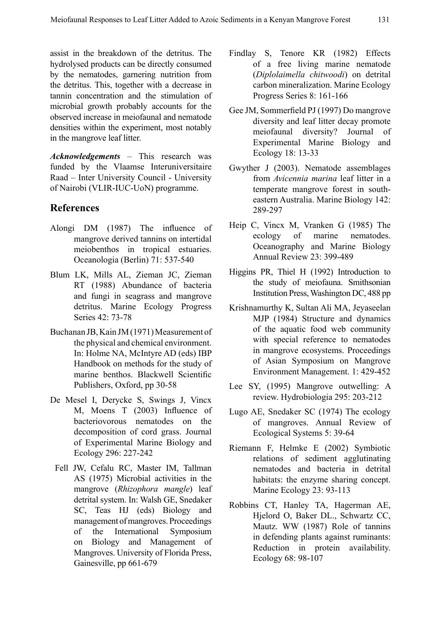assist in the breakdown of the detritus. The hydrolysed products can be directly consumed by the nematodes, garnering nutrition from the detritus. This, together with a decrease in tannin concentration and the stimulation of microbial growth probably accounts for the observed increase in meiofaunal and nematode densities within the experiment, most notably in the mangrove leaf litter.

*Acknowledgements* – This research was funded by the Vlaamse Interuniversitaire Raad – Inter University Council - University of Nairobi (VLIR-IUC-UoN) programme.

#### **References**

- Alongi DM (1987) The influence of mangrove derived tannins on intertidal meiobenthos in tropical estuaries. Oceanologia (Berlin) 71: 537-540
- Blum LK, Mills AL, Zieman JC, Zieman RT (1988) Abundance of bacteria and fungi in seagrass and mangrove detritus. Marine Ecology Progress Series 42: 73-78
- Buchanan JB, Kain JM (1971) Measurement of the physical and chemical environment. In: Holme NA, McIntyre AD (eds) IBP Handbook on methods for the study of marine benthos. Blackwell Scientific Publishers, Oxford, pp 30-58
- De Mesel I, Derycke S, Swings J, Vincx M, Moens T (2003) Influence of bacteriovorous nematodes on the decomposition of cord grass. Journal of Experimental Marine Biology and Ecology 296: 227-242
	- Fell JW, Cefalu RC, Master IM, Tallman AS (1975) Microbial activities in the mangrove (*Rhizophora mangle*) leaf detrital system. In: Walsh GE, Snedaker SC, Teas HJ (eds) Biology and management of mangroves. Proceedings of the International Symposium on Biology and Management of Mangroves. University of Florida Press, Gainesville, pp 661-679
- Findlay S, Tenore KR (1982) Effects of a free living marine nematode (*Diplolaimella chitwoodi*) on detrital carbon mineralization. Marine Ecology Progress Series 8: 161-166
- Gee JM, Sommerfield PJ (1997) Do mangrove diversity and leaf litter decay promote<br>meiofaunal diversity? Journal of meiofaunal diversity? Experimental Marine Biology and Ecology 18: 13-33
- Gwyther J (2003). Nematode assemblages from *Avicennia marina* leaf litter in a temperate mangrove forest in southeastern Australia. Marine Biology 142: 289-297
- Heip C, Vincx M, Vranken G (1985) The ecology of marine nematodes. Oceanography and Marine Biology Annual Review 23: 399-489
- Higgins PR, Thiel H (1992) Introduction to the study of meiofauna. Smithsonian Institution Press, Washington DC, 488 pp
- Krishnamurthy K, Sultan Ali MA, Jeyaseelan MJP (1984) Structure and dynamics of the aquatic food web community with special reference to nematodes in mangrove ecosystems. Proceedings of Asian Symposium on Mangrove Environment Management. 1: 429-452
- Lee SY, (1995) Mangrove outwelling: A review. Hydrobiologia 295: 203-212
- Lugo AE, Snedaker SC (1974) The ecology of mangroves. Annual Review of Ecological Systems 5: 39-64
- Riemann F, Helmke E (2002) Symbiotic relations of sediment agglutinating nematodes and bacteria in detrital habitats: the enzyme sharing concept. Marine Ecology 23: 93-113
- Robbins CT, Hanley TA, Hagerman AE, Hjelord O, Baker DL., Schwartz CC, Mautz. WW (1987) Role of tannins in defending plants against ruminants: Reduction in protein availability. Ecology 68: 98-107